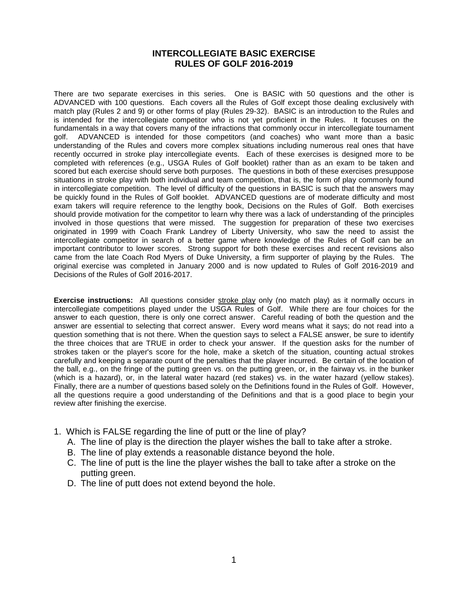## **INTERCOLLEGIATE BASIC EXERCISE RULES OF GOLF 2016-2019**

There are two separate exercises in this series. One is BASIC with 50 questions and the other is ADVANCED with 100 questions. Each covers all the Rules of Golf except those dealing exclusively with match play (Rules 2 and 9) or other forms of play (Rules 29-32). BASIC is an introduction to the Rules and is intended for the intercollegiate competitor who is not yet proficient in the Rules. It focuses on the fundamentals in a way that covers many of the infractions that commonly occur in intercollegiate tournament golf. ADVANCED is intended for those competitors (and coaches) who want more than a basic understanding of the Rules and covers more complex situations including numerous real ones that have recently occurred in stroke play intercollegiate events. Each of these exercises is designed more to be completed with references (e.g., USGA Rules of Golf booklet) rather than as an exam to be taken and scored but each exercise should serve both purposes. The questions in both of these exercises presuppose situations in stroke play with both individual and team competition, that is, the form of play commonly found in intercollegiate competition. The level of difficulty of the questions in BASIC is such that the answers may be quickly found in the Rules of Golf booklet. ADVANCED questions are of moderate difficulty and most exam takers will require reference to the lengthy book, Decisions on the Rules of Golf. Both exercises should provide motivation for the competitor to learn why there was a lack of understanding of the principles involved in those questions that were missed. The suggestion for preparation of these two exercises originated in 1999 with Coach Frank Landrey of Liberty University, who saw the need to assist the intercollegiate competitor in search of a better game where knowledge of the Rules of Golf can be an important contributor to lower scores. Strong support for both these exercises and recent revisions also came from the late Coach Rod Myers of Duke University, a firm supporter of playing by the Rules. The original exercise was completed in January 2000 and is now updated to Rules of Golf 2016-2019 and Decisions of the Rules of Golf 2016-2017.

**Exercise instructions:** All questions consider stroke play only (no match play) as it normally occurs in intercollegiate competitions played under the USGA Rules of Golf. While there are four choices for the answer to each question, there is only one correct answer. Careful reading of both the question and the answer are essential to selecting that correct answer. Every word means what it says; do not read into a question something that is not there. When the question says to select a FALSE answer, be sure to identify the three choices that are TRUE in order to check your answer. If the question asks for the number of strokes taken or the player's score for the hole, make a sketch of the situation, counting actual strokes carefully and keeping a separate count of the penalties that the player incurred. Be certain of the location of the ball, e.g., on the fringe of the putting green vs. on the putting green, or, in the fairway vs. in the bunker (which is a hazard), or, in the lateral water hazard (red stakes) vs. in the water hazard (yellow stakes). Finally, there are a number of questions based solely on the Definitions found in the Rules of Golf. However, all the questions require a good understanding of the Definitions and that is a good place to begin your review after finishing the exercise.

- 1. Which is FALSE regarding the line of putt or the line of play?
	- A. The line of play is the direction the player wishes the ball to take after a stroke.
	- B. The line of play extends a reasonable distance beyond the hole.
	- C. The line of putt is the line the player wishes the ball to take after a stroke on the putting green.
	- D. The line of putt does not extend beyond the hole.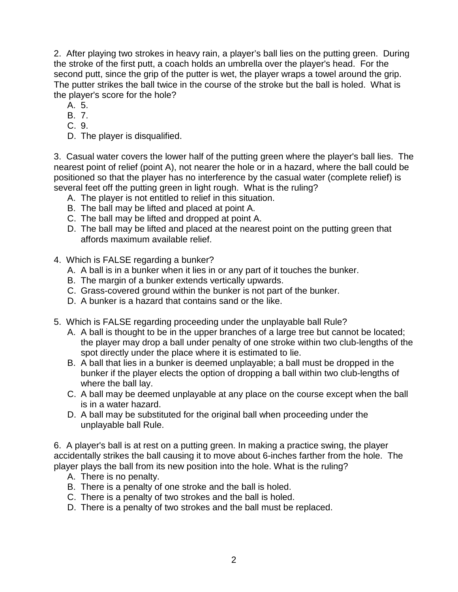2. After playing two strokes in heavy rain, a player's ball lies on the putting green. During the stroke of the first putt, a coach holds an umbrella over the player's head. For the second putt, since the grip of the putter is wet, the player wraps a towel around the grip. The putter strikes the ball twice in the course of the stroke but the ball is holed. What is the player's score for the hole?

- A. 5.
- B. 7.
- C. 9.
- D. The player is disqualified.

3. Casual water covers the lower half of the putting green where the player's ball lies. The nearest point of relief (point A), not nearer the hole or in a hazard, where the ball could be positioned so that the player has no interference by the casual water (complete relief) is several feet off the putting green in light rough. What is the ruling?

- A. The player is not entitled to relief in this situation.
- B. The ball may be lifted and placed at point A.
- C. The ball may be lifted and dropped at point A.
- D. The ball may be lifted and placed at the nearest point on the putting green that affords maximum available relief.
- 4. Which is FALSE regarding a bunker?
	- A. A ball is in a bunker when it lies in or any part of it touches the bunker.
	- B. The margin of a bunker extends vertically upwards.
	- C. Grass-covered ground within the bunker is not part of the bunker.
	- D. A bunker is a hazard that contains sand or the like.
- 5. Which is FALSE regarding proceeding under the unplayable ball Rule?
	- A. A ball is thought to be in the upper branches of a large tree but cannot be located; the player may drop a ball under penalty of one stroke within two club-lengths of the spot directly under the place where it is estimated to lie.
	- B. A ball that lies in a bunker is deemed unplayable; a ball must be dropped in the bunker if the player elects the option of dropping a ball within two club-lengths of where the ball lay.
	- C. A ball may be deemed unplayable at any place on the course except when the ball is in a water hazard.
	- D. A ball may be substituted for the original ball when proceeding under the unplayable ball Rule.

6. A player's ball is at rest on a putting green. In making a practice swing, the player accidentally strikes the ball causing it to move about 6-inches farther from the hole. The player plays the ball from its new position into the hole. What is the ruling?

- A. There is no penalty.
- B. There is a penalty of one stroke and the ball is holed.
- C. There is a penalty of two strokes and the ball is holed.
- D. There is a penalty of two strokes and the ball must be replaced.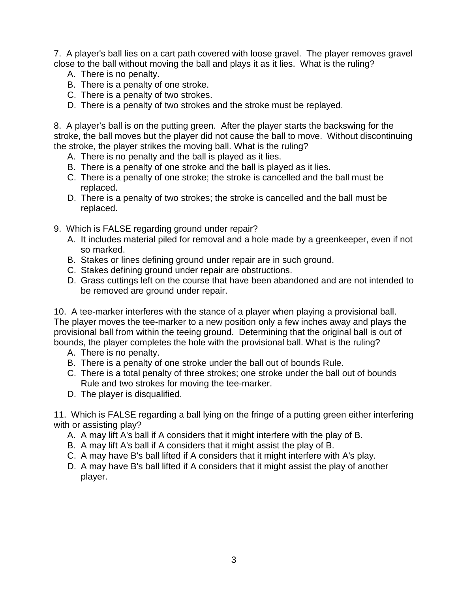7. A player's ball lies on a cart path covered with loose gravel. The player removes gravel close to the ball without moving the ball and plays it as it lies. What is the ruling?

- A. There is no penalty.
- B. There is a penalty of one stroke.
- C. There is a penalty of two strokes.
- D. There is a penalty of two strokes and the stroke must be replayed.

8. A player's ball is on the putting green. After the player starts the backswing for the stroke, the ball moves but the player did not cause the ball to move. Without discontinuing the stroke, the player strikes the moving ball. What is the ruling?

- A. There is no penalty and the ball is played as it lies.
- B. There is a penalty of one stroke and the ball is played as it lies.
- C. There is a penalty of one stroke; the stroke is cancelled and the ball must be replaced.
- D. There is a penalty of two strokes; the stroke is cancelled and the ball must be replaced.
- 9. Which is FALSE regarding ground under repair?
	- A. It includes material piled for removal and a hole made by a greenkeeper, even if not so marked.
	- B. Stakes or lines defining ground under repair are in such ground.
	- C. Stakes defining ground under repair are obstructions.
	- D. Grass cuttings left on the course that have been abandoned and are not intended to be removed are ground under repair.

10. A tee-marker interferes with the stance of a player when playing a provisional ball. The player moves the tee-marker to a new position only a few inches away and plays the provisional ball from within the teeing ground. Determining that the original ball is out of bounds, the player completes the hole with the provisional ball. What is the ruling?

- A. There is no penalty.
- B. There is a penalty of one stroke under the ball out of bounds Rule.
- C. There is a total penalty of three strokes; one stroke under the ball out of bounds Rule and two strokes for moving the tee-marker.
- D. The player is disqualified.

11. Which is FALSE regarding a ball lying on the fringe of a putting green either interfering with or assisting play?

- A. A may lift A's ball if A considers that it might interfere with the play of B.
- B. A may lift A's ball if A considers that it might assist the play of B.
- C. A may have B's ball lifted if A considers that it might interfere with A's play.
- D. A may have B's ball lifted if A considers that it might assist the play of another player.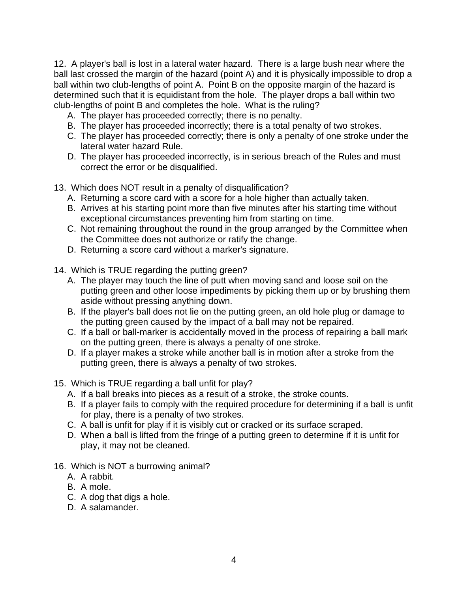12. A player's ball is lost in a lateral water hazard. There is a large bush near where the ball last crossed the margin of the hazard (point A) and it is physically impossible to drop a ball within two club-lengths of point A. Point B on the opposite margin of the hazard is determined such that it is equidistant from the hole. The player drops a ball within two club-lengths of point B and completes the hole. What is the ruling?

- A. The player has proceeded correctly; there is no penalty.
- B. The player has proceeded incorrectly; there is a total penalty of two strokes.
- C. The player has proceeded correctly; there is only a penalty of one stroke under the lateral water hazard Rule.
- D. The player has proceeded incorrectly, is in serious breach of the Rules and must correct the error or be disqualified.
- 13. Which does NOT result in a penalty of disqualification?
	- A. Returning a score card with a score for a hole higher than actually taken.
	- B. Arrives at his starting point more than five minutes after his starting time without exceptional circumstances preventing him from starting on time.
	- C. Not remaining throughout the round in the group arranged by the Committee when the Committee does not authorize or ratify the change.
	- D. Returning a score card without a marker's signature.
- 14. Which is TRUE regarding the putting green?
	- A. The player may touch the line of putt when moving sand and loose soil on the putting green and other loose impediments by picking them up or by brushing them aside without pressing anything down.
	- B. If the player's ball does not lie on the putting green, an old hole plug or damage to the putting green caused by the impact of a ball may not be repaired.
	- C. If a ball or ball-marker is accidentally moved in the process of repairing a ball mark on the putting green, there is always a penalty of one stroke.
	- D. If a player makes a stroke while another ball is in motion after a stroke from the putting green, there is always a penalty of two strokes.
- 15. Which is TRUE regarding a ball unfit for play?
	- A. If a ball breaks into pieces as a result of a stroke, the stroke counts.
	- B. If a player fails to comply with the required procedure for determining if a ball is unfit for play, there is a penalty of two strokes.
	- C. A ball is unfit for play if it is visibly cut or cracked or its surface scraped.
	- D. When a ball is lifted from the fringe of a putting green to determine if it is unfit for play, it may not be cleaned.
- 16. Which is NOT a burrowing animal?
	- A. A rabbit.
	- B. A mole.
	- C. A dog that digs a hole.
	- D. A salamander.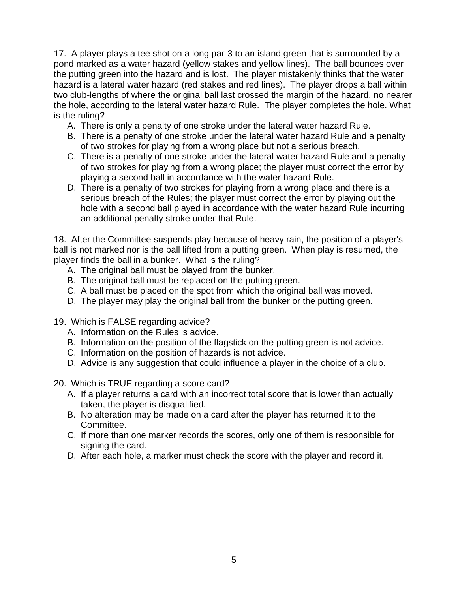17. A player plays a tee shot on a long par-3 to an island green that is surrounded by a pond marked as a water hazard (yellow stakes and yellow lines). The ball bounces over the putting green into the hazard and is lost. The player mistakenly thinks that the water hazard is a lateral water hazard (red stakes and red lines). The player drops a ball within two club-lengths of where the original ball last crossed the margin of the hazard, no nearer the hole, according to the lateral water hazard Rule. The player completes the hole. What is the ruling?

- A. There is only a penalty of one stroke under the lateral water hazard Rule.
- B. There is a penalty of one stroke under the lateral water hazard Rule and a penalty of two strokes for playing from a wrong place but not a serious breach.
- C. There is a penalty of one stroke under the lateral water hazard Rule and a penalty of two strokes for playing from a wrong place; the player must correct the error by playing a second ball in accordance with the water hazard Rule.
- D. There is a penalty of two strokes for playing from a wrong place and there is a serious breach of the Rules; the player must correct the error by playing out the hole with a second ball played in accordance with the water hazard Rule incurring an additional penalty stroke under that Rule.

18. After the Committee suspends play because of heavy rain, the position of a player's ball is not marked nor is the ball lifted from a putting green. When play is resumed, the player finds the ball in a bunker. What is the ruling?

- A. The original ball must be played from the bunker.
- B. The original ball must be replaced on the putting green.
- C. A ball must be placed on the spot from which the original ball was moved.
- D. The player may play the original ball from the bunker or the putting green.
- 19. Which is FALSE regarding advice?
	- A. Information on the Rules is advice.
	- B. Information on the position of the flagstick on the putting green is not advice.
	- C. Information on the position of hazards is not advice.
	- D. Advice is any suggestion that could influence a player in the choice of a club.
- 20. Which is TRUE regarding a score card?
	- A. If a player returns a card with an incorrect total score that is lower than actually taken, the player is disqualified.
	- B. No alteration may be made on a card after the player has returned it to the Committee.
	- C. If more than one marker records the scores, only one of them is responsible for signing the card.
	- D. After each hole, a marker must check the score with the player and record it.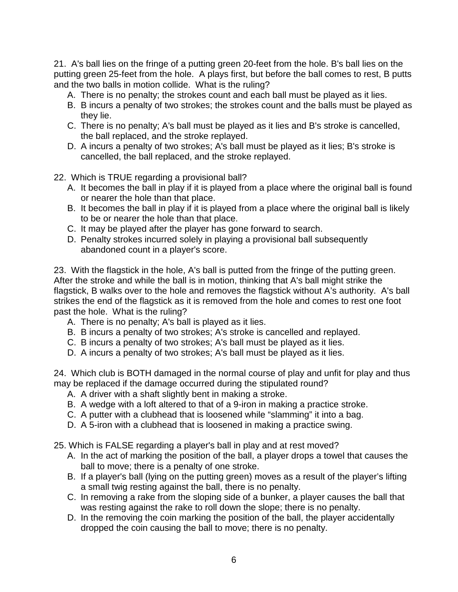21. A's ball lies on the fringe of a putting green 20-feet from the hole. B's ball lies on the putting green 25-feet from the hole. A plays first, but before the ball comes to rest, B putts and the two balls in motion collide. What is the ruling?

- A. There is no penalty; the strokes count and each ball must be played as it lies.
- B. B incurs a penalty of two strokes; the strokes count and the balls must be played as they lie.
- C. There is no penalty; A's ball must be played as it lies and B's stroke is cancelled, the ball replaced, and the stroke replayed.
- D. A incurs a penalty of two strokes; A's ball must be played as it lies; B's stroke is cancelled, the ball replaced, and the stroke replayed.
- 22. Which is TRUE regarding a provisional ball?
	- A. It becomes the ball in play if it is played from a place where the original ball is found or nearer the hole than that place.
	- B. It becomes the ball in play if it is played from a place where the original ball is likely to be or nearer the hole than that place.
	- C. It may be played after the player has gone forward to search.
	- D. Penalty strokes incurred solely in playing a provisional ball subsequently abandoned count in a player's score.

23. With the flagstick in the hole, A's ball is putted from the fringe of the putting green. After the stroke and while the ball is in motion, thinking that A's ball might strike the flagstick, B walks over to the hole and removes the flagstick without A's authority. A's ball strikes the end of the flagstick as it is removed from the hole and comes to rest one foot past the hole. What is the ruling?

- A. There is no penalty; A's ball is played as it lies.
- B. B incurs a penalty of two strokes; A's stroke is cancelled and replayed.
- C. B incurs a penalty of two strokes; A's ball must be played as it lies.
- D. A incurs a penalty of two strokes; A's ball must be played as it lies.

24. Which club is BOTH damaged in the normal course of play and unfit for play and thus may be replaced if the damage occurred during the stipulated round?

- A. A driver with a shaft slightly bent in making a stroke.
- B. A wedge with a loft altered to that of a 9-iron in making a practice stroke.
- C. A putter with a clubhead that is loosened while "slamming" it into a bag.
- D. A 5-iron with a clubhead that is loosened in making a practice swing.
- 25. Which is FALSE regarding a player's ball in play and at rest moved?
	- A. In the act of marking the position of the ball, a player drops a towel that causes the ball to move; there is a penalty of one stroke.
	- B. If a player's ball (lying on the putting green) moves as a result of the player's lifting a small twig resting against the ball, there is no penalty.
	- C. In removing a rake from the sloping side of a bunker, a player causes the ball that was resting against the rake to roll down the slope; there is no penalty.
	- D. In the removing the coin marking the position of the ball, the player accidentally dropped the coin causing the ball to move; there is no penalty.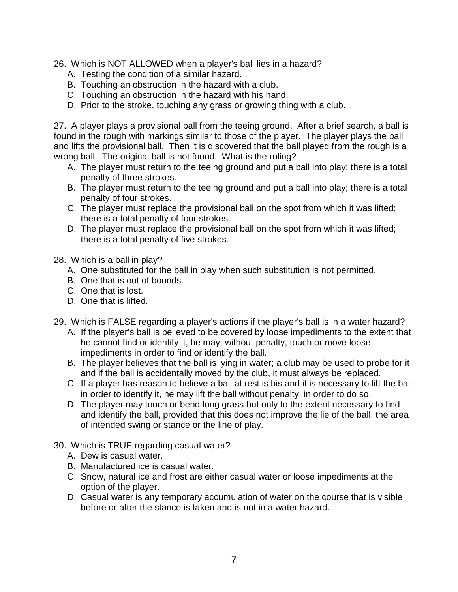- 26. Which is NOT ALLOWED when a player's ball lies in a hazard?
	- A. Testing the condition of a similar hazard.
	- B. Touching an obstruction in the hazard with a club.
	- C. Touching an obstruction in the hazard with his hand.
	- D. Prior to the stroke, touching any grass or growing thing with a club.

27. A player plays a provisional ball from the teeing ground. After a brief search, a ball is found in the rough with markings similar to those of the player. The player plays the ball and lifts the provisional ball. Then it is discovered that the ball played from the rough is a wrong ball. The original ball is not found. What is the ruling?

- A. The player must return to the teeing ground and put a ball into play; there is a total penalty of three strokes.
- B. The player must return to the teeing ground and put a ball into play; there is a total penalty of four strokes.
- C. The player must replace the provisional ball on the spot from which it was lifted; there is a total penalty of four strokes.
- D. The player must replace the provisional ball on the spot from which it was lifted; there is a total penalty of five strokes.
- 28. Which is a ball in play?
	- A. One substituted for the ball in play when such substitution is not permitted.
	- B. One that is out of bounds.
	- C. One that is lost.
	- D. One that is lifted.
- 29. Which is FALSE regarding a player's actions if the player's ball is in a water hazard?
	- A. If the player's ball is believed to be covered by loose impediments to the extent that he cannot find or identify it, he may, without penalty, touch or move loose impediments in order to find or identify the ball.
	- B. The player believes that the ball is lying in water; a club may be used to probe for it and if the ball is accidentally moved by the club, it must always be replaced.
	- C. If a player has reason to believe a ball at rest is his and it is necessary to lift the ball in order to identify it, he may lift the ball without penalty, in order to do so.
	- D. The player may touch or bend long grass but only to the extent necessary to find and identify the ball, provided that this does not improve the lie of the ball, the area of intended swing or stance or the line of play.
- 30. Which is TRUE regarding casual water?
	- A. Dew is casual water.
	- B. Manufactured ice is casual water.
	- C. Snow, natural ice and frost are either casual water or loose impediments at the option of the player.
	- D. Casual water is any temporary accumulation of water on the course that is visible before or after the stance is taken and is not in a water hazard.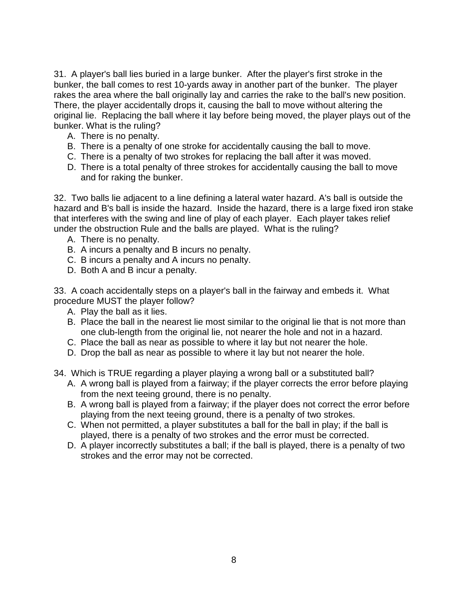31. A player's ball lies buried in a large bunker. After the player's first stroke in the bunker, the ball comes to rest 10-yards away in another part of the bunker. The player rakes the area where the ball originally lay and carries the rake to the ball's new position. There, the player accidentally drops it, causing the ball to move without altering the original lie. Replacing the ball where it lay before being moved, the player plays out of the bunker. What is the ruling?

- A. There is no penalty.
- B. There is a penalty of one stroke for accidentally causing the ball to move.
- C. There is a penalty of two strokes for replacing the ball after it was moved.
- D. There is a total penalty of three strokes for accidentally causing the ball to move and for raking the bunker.

32. Two balls lie adjacent to a line defining a lateral water hazard. A's ball is outside the hazard and B's ball is inside the hazard. Inside the hazard, there is a large fixed iron stake that interferes with the swing and line of play of each player. Each player takes relief under the obstruction Rule and the balls are played. What is the ruling?

- A. There is no penalty.
- B. A incurs a penalty and B incurs no penalty.
- C. B incurs a penalty and A incurs no penalty.
- D. Both A and B incur a penalty.

33. A coach accidentally steps on a player's ball in the fairway and embeds it. What procedure MUST the player follow?

- A. Play the ball as it lies.
- B. Place the ball in the nearest lie most similar to the original lie that is not more than one club-length from the original lie, not nearer the hole and not in a hazard.
- C. Place the ball as near as possible to where it lay but not nearer the hole.
- D. Drop the ball as near as possible to where it lay but not nearer the hole.
- 34. Which is TRUE regarding a player playing a wrong ball or a substituted ball?
	- A. A wrong ball is played from a fairway; if the player corrects the error before playing from the next teeing ground, there is no penalty.
	- B. A wrong ball is played from a fairway; if the player does not correct the error before playing from the next teeing ground, there is a penalty of two strokes.
	- C. When not permitted, a player substitutes a ball for the ball in play; if the ball is played, there is a penalty of two strokes and the error must be corrected.
	- D. A player incorrectly substitutes a ball; if the ball is played, there is a penalty of two strokes and the error may not be corrected.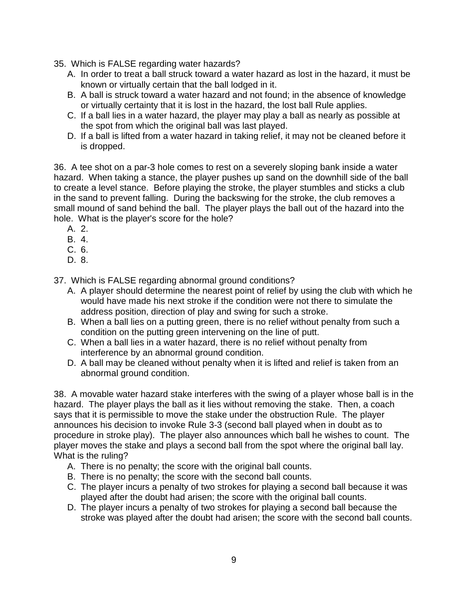- 35. Which is FALSE regarding water hazards?
	- A. In order to treat a ball struck toward a water hazard as lost in the hazard, it must be known or virtually certain that the ball lodged in it.
	- B. A ball is struck toward a water hazard and not found; in the absence of knowledge or virtually certainty that it is lost in the hazard, the lost ball Rule applies.
	- C. If a ball lies in a water hazard, the player may play a ball as nearly as possible at the spot from which the original ball was last played.
	- D. If a ball is lifted from a water hazard in taking relief, it may not be cleaned before it is dropped.

36. A tee shot on a par-3 hole comes to rest on a severely sloping bank inside a water hazard. When taking a stance, the player pushes up sand on the downhill side of the ball to create a level stance. Before playing the stroke, the player stumbles and sticks a club in the sand to prevent falling. During the backswing for the stroke, the club removes a small mound of sand behind the ball. The player plays the ball out of the hazard into the hole. What is the player's score for the hole?

- A. 2.
- B. 4.
- C. 6.
- D. 8.

37. Which is FALSE regarding abnormal ground conditions?

- A. A player should determine the nearest point of relief by using the club with which he would have made his next stroke if the condition were not there to simulate the address position, direction of play and swing for such a stroke.
- B. When a ball lies on a putting green, there is no relief without penalty from such a condition on the putting green intervening on the line of putt.
- C. When a ball lies in a water hazard, there is no relief without penalty from interference by an abnormal ground condition.
- D. A ball may be cleaned without penalty when it is lifted and relief is taken from an abnormal ground condition.

38. A movable water hazard stake interferes with the swing of a player whose ball is in the hazard. The player plays the ball as it lies without removing the stake. Then, a coach says that it is permissible to move the stake under the obstruction Rule. The player announces his decision to invoke Rule 3-3 (second ball played when in doubt as to procedure in stroke play). The player also announces which ball he wishes to count. The player moves the stake and plays a second ball from the spot where the original ball lay. What is the ruling?

- A. There is no penalty; the score with the original ball counts.
- B. There is no penalty; the score with the second ball counts.
- C. The player incurs a penalty of two strokes for playing a second ball because it was played after the doubt had arisen; the score with the original ball counts.
- D. The player incurs a penalty of two strokes for playing a second ball because the stroke was played after the doubt had arisen; the score with the second ball counts.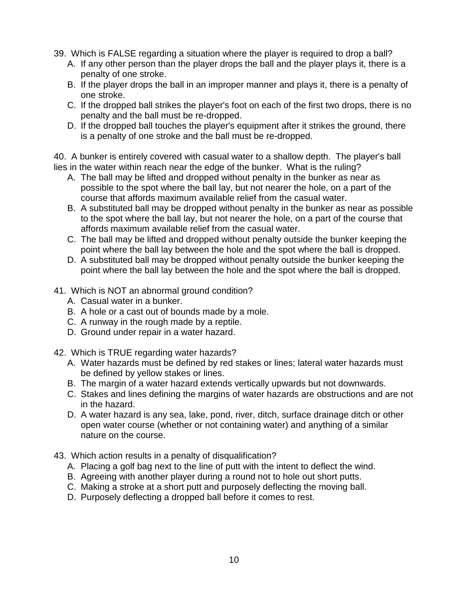- 39. Which is FALSE regarding a situation where the player is required to drop a ball?
	- A. If any other person than the player drops the ball and the player plays it, there is a penalty of one stroke.
	- B. If the player drops the ball in an improper manner and plays it, there is a penalty of one stroke.
	- C. If the dropped ball strikes the player's foot on each of the first two drops, there is no penalty and the ball must be re-dropped.
	- D. If the dropped ball touches the player's equipment after it strikes the ground, there is a penalty of one stroke and the ball must be re-dropped.

40. A bunker is entirely covered with casual water to a shallow depth. The player's ball lies in the water within reach near the edge of the bunker. What is the ruling?

- A. The ball may be lifted and dropped without penalty in the bunker as near as possible to the spot where the ball lay, but not nearer the hole, on a part of the course that affords maximum available relief from the casual water.
- B. A substituted ball may be dropped without penalty in the bunker as near as possible to the spot where the ball lay, but not nearer the hole, on a part of the course that affords maximum available relief from the casual water.
- C. The ball may be lifted and dropped without penalty outside the bunker keeping the point where the ball lay between the hole and the spot where the ball is dropped.
- D. A substituted ball may be dropped without penalty outside the bunker keeping the point where the ball lay between the hole and the spot where the ball is dropped.
- 41. Which is NOT an abnormal ground condition?
	- A. Casual water in a bunker.
	- B. A hole or a cast out of bounds made by a mole.
	- C. A runway in the rough made by a reptile.
	- D. Ground under repair in a water hazard.
- 42. Which is TRUE regarding water hazards?
	- A. Water hazards must be defined by red stakes or lines; lateral water hazards must be defined by yellow stakes or lines.
	- B. The margin of a water hazard extends vertically upwards but not downwards.
	- C. Stakes and lines defining the margins of water hazards are obstructions and are not in the hazard.
	- D. A water hazard is any sea, lake, pond, river, ditch, surface drainage ditch or other open water course (whether or not containing water) and anything of a similar nature on the course.
- 43. Which action results in a penalty of disqualification?
	- A. Placing a golf bag next to the line of putt with the intent to deflect the wind.
	- B. Agreeing with another player during a round not to hole out short putts.
	- C. Making a stroke at a short putt and purposely deflecting the moving ball.
	- D. Purposely deflecting a dropped ball before it comes to rest.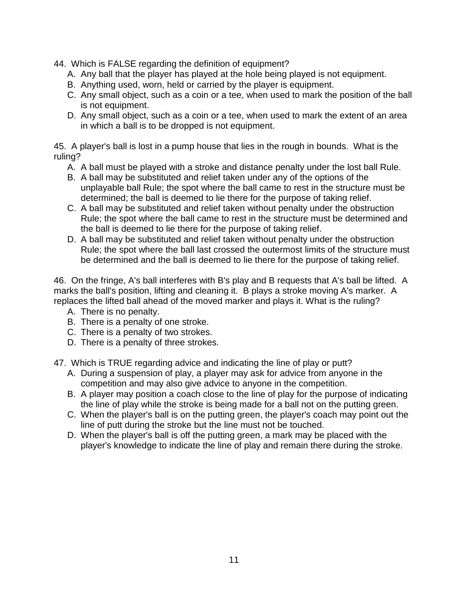- 44. Which is FALSE regarding the definition of equipment?
	- A. Any ball that the player has played at the hole being played is not equipment.
	- B. Anything used, worn, held or carried by the player is equipment.
	- C. Any small object, such as a coin or a tee, when used to mark the position of the ball is not equipment.
	- D. Any small object, such as a coin or a tee, when used to mark the extent of an area in which a ball is to be dropped is not equipment.

45. A player's ball is lost in a pump house that lies in the rough in bounds. What is the ruling?

- A. A ball must be played with a stroke and distance penalty under the lost ball Rule.
- B. A ball may be substituted and relief taken under any of the options of the unplayable ball Rule; the spot where the ball came to rest in the structure must be determined; the ball is deemed to lie there for the purpose of taking relief.
- C. A ball may be substituted and relief taken without penalty under the obstruction Rule; the spot where the ball came to rest in the structure must be determined and the ball is deemed to lie there for the purpose of taking relief.
- D. A ball may be substituted and relief taken without penalty under the obstruction Rule; the spot where the ball last crossed the outermost limits of the structure must be determined and the ball is deemed to lie there for the purpose of taking relief.

46. On the fringe, A's ball interferes with B's play and B requests that A's ball be lifted. A marks the ball's position, lifting and cleaning it. B plays a stroke moving A's marker. A replaces the lifted ball ahead of the moved marker and plays it. What is the ruling?

- A. There is no penalty.
- B. There is a penalty of one stroke.
- C. There is a penalty of two strokes.
- D. There is a penalty of three strokes.
- 47. Which is TRUE regarding advice and indicating the line of play or putt?
	- A. During a suspension of play, a player may ask for advice from anyone in the competition and may also give advice to anyone in the competition.
	- B. A player may position a coach close to the line of play for the purpose of indicating the line of play while the stroke is being made for a ball not on the putting green.
	- C. When the player's ball is on the putting green, the player's coach may point out the line of putt during the stroke but the line must not be touched.
	- D. When the player's ball is off the putting green, a mark may be placed with the player's knowledge to indicate the line of play and remain there during the stroke.